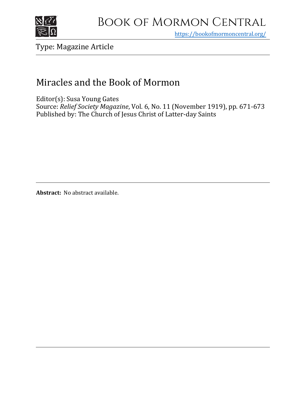

# Book of Mormon Central

https[://bookofmormoncentral.org/](http://bookofmormoncentral.org/)

Type: Magazine Article

## Miracles and the Book of Mormon

Editor(s): Susa Young Gates Source: *Relief Society Magazine*, Vol. 6, No. 11 (November 1919), pp. 671-673 Published by: The Church of Jesus Christ of Latter-day Saints

**Abstract:** No abstract available.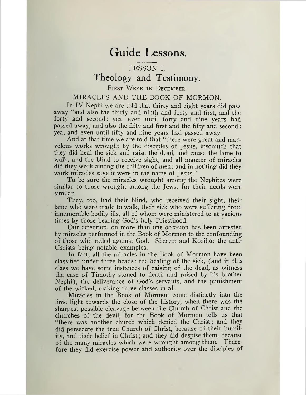## Guide Lessons.

## LESSON I. Theology and Testimony.

### FIRST WEEK IN DECEMBER.

### MIRACLES AND THE BOOK OF MORMON.

In IV Nephi we are told that thirty and eight years did pass away "and also the thirty and ninth and forty and first, and the forty and second: yea, even until forty and nine years had passed away, and also the fifty and first and the fifty and second: yea, and even until fifty and nine years had passed away.

And at that time we are told that "there were great and marvelous works wrought by the disciples of Jesus, insomuch that they did heal the sick and raise the dead, and cause the lame to walk, and the blind to receive sight, and all manner of miracles did they work among the children of men: and in nothing did they work miracles save it were in the name of Jesus."

To be sure the miracles wrought among the Nephites were similar to those wrought among the Jews, for their needs were similar.

They, too, had their blind, who received their sight, their lame who were made to walk, their sick who were suffering from innumerable bodily ills, all of whom were ministered to at various times by those bearing God's holy Priesthood.

Our attention, on more than one occasion has been arrested bv miracles performed in the Book of Mormon to the confounding of those who railed against God. Sherem and Korihor the anti-Christs being notable examples.

In fact, all the miracles in the Book of Mormon have been classified under three heads: the healing of the sick, (and in this class we have some instances of raising of the dead, as witness the case of Timothy stoned to death and raised by his brother Nephi), the deliverance of God's servants, and the punishment of the wicked, making three classes in all.

Miracles in the Book of Mormon come distinctly into the lime light towards the close of the history, when there was the sharpest possible cleavage between the Church of Christ and the churches of the devil, for the Book of Mormon tells us that "there was another church which denied the Christ; and they did persecute the true Church of Christ, because of their humility, and their belief in Christ; and they did despise them, because of the many miracles which were wrought among them. Therefore they did exercise power and authority over the disciples of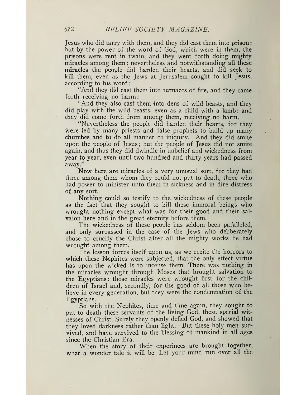Jesus who did tarry with them, and they did cast them into prison: but by the power of the word of God, which were in them, the prisons were rent in twain, and they went forth doing mighty miracles among them: nevertheless and notwithstanding all these miracles the people did harden their hearts, and did seek to kill them, even as the Jews at Jerusalem sought to kill Jesus, according to his word

"And they did cast them into furnaces of fire, and they came forth receiving no harm.

"And they also cast them into dens of wild beasts, and they did play with the wild beasts, even as a child with a lamb: and they did come forth from among them, receiving no harm.

"Nevertheless the people did harden their hearts, for they were led by many priests and false prophets to build up many churches and to do all manner of iniquity. And they did smite upon the people of Jesus; but the people of Jesus did not smite again, and thus they did dwindle in unbelief and wickedness from year to year, even until two hundred and thirty years had passed away."

Now here are miracles of a very unusual sort, for they had three among them whom' they could not put to death, three who had power to minister unto them in sickness and in dire distress of any sort.

Nothing could so testify to the wickedness of these people as the fact that they sought to kill these immoral beings who. wrought nothing except what was for their good and their salvaion here and in the great eternity before them.

The wickedness of these people has seldom been paralleled, and only surpassed in the case of the Jews who deliberately chose to crucify the Christ after all the mighty works he had wrought among them.

The lesson forces itself upon us, as we recite the horrors to which these Nephites were subjected, that the only effect virtue has upon the wicked is to incense them. There was nothing in the miracles wrought through Moses that brought salvation to the Egyptians: those miracles were wrought first for the children of Israel and, secondly, for the good of all those who believe in every generation, but they were the condemnation of the Egyptians.

So with the Nephites, time and time again, they sought to put to death these servants of the living God, these special witnesses of Christ. Surely they openly defied God, and showed that they loved darkness rather than light. But these holy men survived, and have survived to the blessing of mankind in all ages since the Christian Era.

When the story of their experinces are brought together, what a wonder tale it will be. Let your mind run over all the